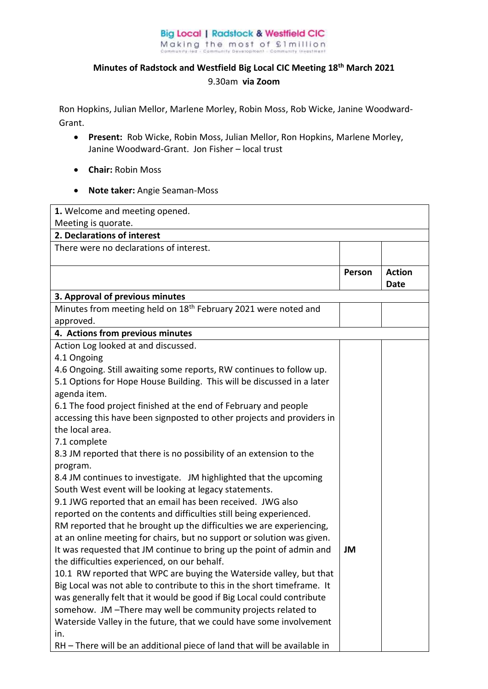## **Big Local | Radstock & Westfield CIC** Making the most of £1million

## **Minutes of Radstock and Westfield Big Local CIC Meeting 18th March 2021**  9.30am **via Zoom**

Ron Hopkins, Julian Mellor, Marlene Morley, Robin Moss, Rob Wicke, Janine Woodward-Grant.

- **Present:** Rob Wicke, Robin Moss, Julian Mellor, Ron Hopkins, Marlene Morley, Janine Woodward-Grant. Jon Fisher – local trust
- **Chair:** Robin Moss
- **Note taker:** Angie Seaman-Moss

| 1. Welcome and meeting opened.                                                                                       |        |                              |  |
|----------------------------------------------------------------------------------------------------------------------|--------|------------------------------|--|
| Meeting is quorate.                                                                                                  |        |                              |  |
| 2. Declarations of interest                                                                                          |        |                              |  |
| There were no declarations of interest.                                                                              |        |                              |  |
|                                                                                                                      |        |                              |  |
|                                                                                                                      | Person | <b>Action</b><br><b>Date</b> |  |
| 3. Approval of previous minutes                                                                                      |        |                              |  |
| Minutes from meeting held on 18 <sup>th</sup> February 2021 were noted and                                           |        |                              |  |
| approved.                                                                                                            |        |                              |  |
| 4. Actions from previous minutes                                                                                     |        |                              |  |
| Action Log looked at and discussed.                                                                                  |        |                              |  |
| 4.1 Ongoing                                                                                                          |        |                              |  |
| 4.6 Ongoing. Still awaiting some reports, RW continues to follow up.                                                 |        |                              |  |
| 5.1 Options for Hope House Building. This will be discussed in a later                                               |        |                              |  |
| agenda item.                                                                                                         |        |                              |  |
| 6.1 The food project finished at the end of February and people                                                      |        |                              |  |
| accessing this have been signposted to other projects and providers in                                               |        |                              |  |
| the local area.                                                                                                      |        |                              |  |
| 7.1 complete                                                                                                         |        |                              |  |
| 8.3 JM reported that there is no possibility of an extension to the                                                  |        |                              |  |
| program.                                                                                                             |        |                              |  |
| 8.4 JM continues to investigate. JM highlighted that the upcoming                                                    |        |                              |  |
| South West event will be looking at legacy statements.<br>9.1 JWG reported that an email has been received. JWG also |        |                              |  |
| reported on the contents and difficulties still being experienced.                                                   |        |                              |  |
| RM reported that he brought up the difficulties we are experiencing,                                                 |        |                              |  |
| at an online meeting for chairs, but no support or solution was given.                                               |        |                              |  |
| It was requested that JM continue to bring up the point of admin and                                                 | JM     |                              |  |
| the difficulties experienced, on our behalf.                                                                         |        |                              |  |
| 10.1 RW reported that WPC are buying the Waterside valley, but that                                                  |        |                              |  |
| Big Local was not able to contribute to this in the short timeframe. It                                              |        |                              |  |
| was generally felt that it would be good if Big Local could contribute                                               |        |                              |  |
| somehow. JM-There may well be community projects related to                                                          |        |                              |  |
| Waterside Valley in the future, that we could have some involvement                                                  |        |                              |  |
| in.                                                                                                                  |        |                              |  |
| RH - There will be an additional piece of land that will be available in                                             |        |                              |  |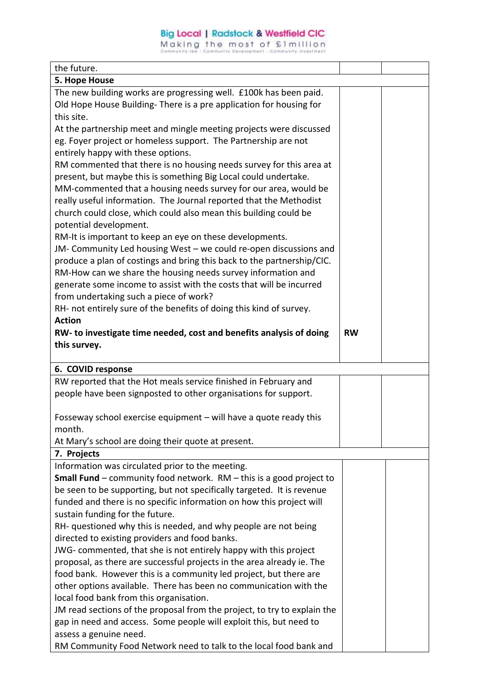## **Big Local | Radstock & Westfield CIC**

Making the most of £1million

| the future.                                                                                  |           |  |
|----------------------------------------------------------------------------------------------|-----------|--|
| 5. Hope House                                                                                |           |  |
| The new building works are progressing well. £100k has been paid.                            |           |  |
| Old Hope House Building-There is a pre application for housing for                           |           |  |
| this site.                                                                                   |           |  |
| At the partnership meet and mingle meeting projects were discussed                           |           |  |
| eg. Foyer project or homeless support. The Partnership are not                               |           |  |
| entirely happy with these options.                                                           |           |  |
| RM commented that there is no housing needs survey for this area at                          |           |  |
| present, but maybe this is something Big Local could undertake.                              |           |  |
| MM-commented that a housing needs survey for our area, would be                              |           |  |
| really useful information. The Journal reported that the Methodist                           |           |  |
| church could close, which could also mean this building could be                             |           |  |
| potential development.                                                                       |           |  |
| RM-It is important to keep an eye on these developments.                                     |           |  |
| JM- Community Led housing West - we could re-open discussions and                            |           |  |
| produce a plan of costings and bring this back to the partnership/CIC.                       |           |  |
| RM-How can we share the housing needs survey information and                                 |           |  |
| generate some income to assist with the costs that will be incurred                          |           |  |
| from undertaking such a piece of work?                                                       |           |  |
| RH- not entirely sure of the benefits of doing this kind of survey.                          |           |  |
| <b>Action</b>                                                                                |           |  |
| RW- to investigate time needed, cost and benefits analysis of doing                          | <b>RW</b> |  |
| this survey.                                                                                 |           |  |
|                                                                                              |           |  |
| 6. COVID response                                                                            |           |  |
| RW reported that the Hot meals service finished in February and                              |           |  |
| people have been signposted to other organisations for support.                              |           |  |
| Fosseway school exercise equipment - will have a quote ready this                            |           |  |
| month.                                                                                       |           |  |
| At Mary's school are doing their quote at present.                                           |           |  |
| 7. Projects                                                                                  |           |  |
| Information was circulated prior to the meeting.                                             |           |  |
| <b>Small Fund</b> – community food network. $RM - this$ is a good project to                 |           |  |
| be seen to be supporting, but not specifically targeted. It is revenue                       |           |  |
| funded and there is no specific information on how this project will                         |           |  |
| sustain funding for the future.                                                              |           |  |
| RH- questioned why this is needed, and why people are not being                              |           |  |
| directed to existing providers and food banks.                                               |           |  |
| JWG- commented, that she is not entirely happy with this project                             |           |  |
| proposal, as there are successful projects in the area already ie. The                       |           |  |
| food bank. However this is a community led project, but there are                            |           |  |
| other options available. There has been no communication with the                            |           |  |
|                                                                                              |           |  |
|                                                                                              |           |  |
| local food bank from this organisation.                                                      |           |  |
| JM read sections of the proposal from the project, to try to explain the                     |           |  |
| gap in need and access. Some people will exploit this, but need to<br>assess a genuine need. |           |  |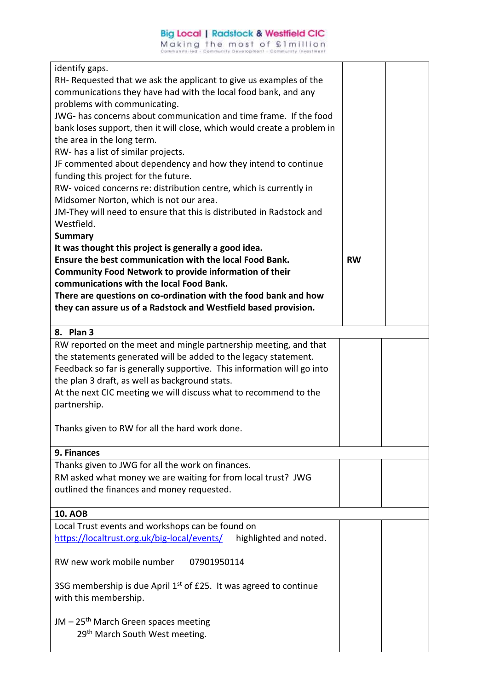| identify gaps.                                                          |           |  |
|-------------------------------------------------------------------------|-----------|--|
| RH- Requested that we ask the applicant to give us examples of the      |           |  |
| communications they have had with the local food bank, and any          |           |  |
| problems with communicating.                                            |           |  |
| JWG- has concerns about communication and time frame. If the food       |           |  |
| bank loses support, then it will close, which would create a problem in |           |  |
| the area in the long term.                                              |           |  |
| RW- has a list of similar projects.                                     |           |  |
| JF commented about dependency and how they intend to continue           |           |  |
| funding this project for the future.                                    |           |  |
| RW- voiced concerns re: distribution centre, which is currently in      |           |  |
| Midsomer Norton, which is not our area.                                 |           |  |
| JM-They will need to ensure that this is distributed in Radstock and    |           |  |
| Westfield.                                                              |           |  |
| <b>Summary</b>                                                          |           |  |
| It was thought this project is generally a good idea.                   |           |  |
| Ensure the best communication with the local Food Bank.                 | <b>RW</b> |  |
| Community Food Network to provide information of their                  |           |  |
| communications with the local Food Bank.                                |           |  |
| There are questions on co-ordination with the food bank and how         |           |  |
| they can assure us of a Radstock and Westfield based provision.         |           |  |
|                                                                         |           |  |
| 8. Plan 3                                                               |           |  |
| RW reported on the meet and mingle partnership meeting, and that        |           |  |
| the statements generated will be added to the legacy statement.         |           |  |
| Feedback so far is generally supportive. This information will go into  |           |  |
| the plan 3 draft, as well as background stats.                          |           |  |
| At the next CIC meeting we will discuss what to recommend to the        |           |  |
| partnership.                                                            |           |  |
|                                                                         |           |  |
| Thanks given to RW for all the hard work done.                          |           |  |
|                                                                         |           |  |
| 9. Finances                                                             |           |  |
| Thanks given to JWG for all the work on finances.                       |           |  |
| RM asked what money we are waiting for from local trust? JWG            |           |  |
| outlined the finances and money requested.                              |           |  |
|                                                                         |           |  |
| <b>10. AOB</b>                                                          |           |  |
| Local Trust events and workshops can be found on                        |           |  |
| https://localtrust.org.uk/big-local/events/<br>highlighted and noted.   |           |  |
|                                                                         |           |  |
| RW new work mobile number<br>07901950114                                |           |  |
| 3SG membership is due April $1st$ of £25. It was agreed to continue     |           |  |
|                                                                         |           |  |
| with this membership.                                                   |           |  |
| $JM - 25th$ March Green spaces meeting                                  |           |  |
| 29 <sup>th</sup> March South West meeting.                              |           |  |
|                                                                         |           |  |
|                                                                         |           |  |